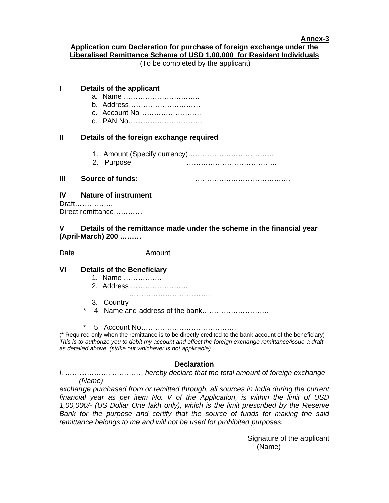## **Annex-3**

## **Application cum Declaration for purchase of foreign exchange under the Liberalised Remittance Scheme of USD 1,00,000 for Resident Individuals**

(To be completed by the applicant)

| ı                                       | Details of the applicant                                                                   |                         |
|-----------------------------------------|--------------------------------------------------------------------------------------------|-------------------------|
|                                         |                                                                                            | b. Address              |
|                                         |                                                                                            | c. Account No           |
|                                         |                                                                                            |                         |
| Ш                                       | Details of the foreign exchange required                                                   |                         |
|                                         |                                                                                            |                         |
|                                         |                                                                                            | 2. Purpose              |
| Ш                                       |                                                                                            | <b>Source of funds:</b> |
| <b>IV Nature of instrument</b><br>Draft |                                                                                            |                         |
|                                         |                                                                                            | Direct remittance       |
| V                                       | Details of the remittance made under the scheme in the financial year<br>(April-March) 200 |                         |
| Date                                    |                                                                                            | Amount                  |
| VI                                      | <b>Details of the Beneficiary</b>                                                          |                         |
|                                         |                                                                                            | 1. Name                 |
|                                         |                                                                                            | 2. Address              |
|                                         |                                                                                            | 3. Country              |
|                                         | $^\star$                                                                                   |                         |

\* 5. Account No………………………………….

(\* Required only when the remittance is to be directly credited to the bank account of the beneficiary) *This is to authorize you to debit my account and effect the foreign exchange remittance/issue a draft as detailed above. (strike out whichever is not applicable).* 

## **Declaration**

*I, ………………. …………, hereby declare that the total amount of foreign exchange (Name)* 

exchange purchased from or remitted through, all sources in India during the current *financial year as per item No. V of the Application, is within the limit of USD 1,00,000/- (US Dollar One lakh only), which is the limit prescribed by the Reserve Bank for the purpose and certify that the source of funds for making the said remittance belongs to me and will not be used for prohibited purposes.* 

> Signature of the applicant (Name)